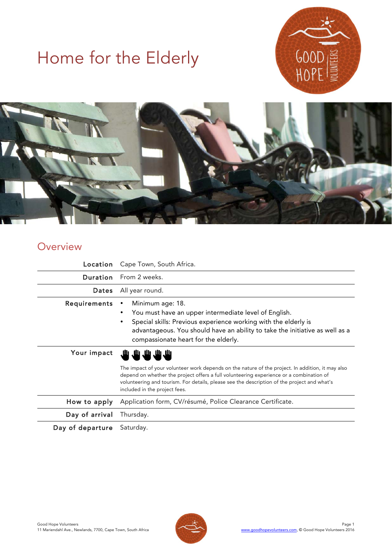# Home for the Elderly





# **Overview**

| Location         | Cape Town, South Africa.                                                                                                                                                                                                                                                                                                    |
|------------------|-----------------------------------------------------------------------------------------------------------------------------------------------------------------------------------------------------------------------------------------------------------------------------------------------------------------------------|
| Duration         | From 2 weeks.                                                                                                                                                                                                                                                                                                               |
| <b>Dates</b>     | All year round.                                                                                                                                                                                                                                                                                                             |
| Requirements     | Minimum age: 18.<br>٠<br>You must have an upper intermediate level of English.<br>٠<br>Special skills: Previous experience working with the elderly is<br>٠<br>advantageous. You should have an ability to take the initiative as well as a<br>compassionate heart for the elderly.                                         |
| Your impact      | ىك ىك ىك يىك                                                                                                                                                                                                                                                                                                                |
|                  | The impact of your volunteer work depends on the nature of the project. In addition, it may also<br>depend on whether the project offers a full volunteering experience or a combination of<br>volunteering and tourism. For details, please see the description of the project and what's<br>included in the project fees. |
| How to apply     | Application form, CV/résumé, Police Clearance Certificate.                                                                                                                                                                                                                                                                  |
| Day of arrival   | Thursday.                                                                                                                                                                                                                                                                                                                   |
| Day of departure | Saturday.                                                                                                                                                                                                                                                                                                                   |

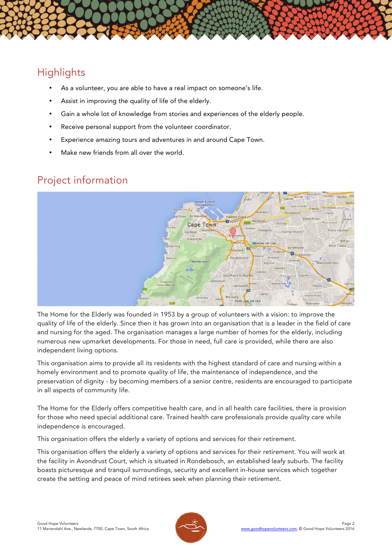# **Highlights**

- As a volunteer, you are able to have a real impact on someone's life.
- Assist in improving the quality of life of the elderly.
- Gain a whole lot of knowledge from stories and experiences of the elderly people.
- Receive personal support from the volunteer coordinator.
- Experience amazing tours and adventures in and around Cape Town.
- Make new friends from all over the world.

# Project information



The Home for the Elderly was founded in 1953 by a group of volunteers with a vision: to improve the quality of life of the elderly. Since then it has grown into an organisation that is a leader in the field of care and nursing for the aged. The organisation manages a large number of homes for the elderly, including numerous new upmarket developments. For those in need, full care is provided, while there are also independent living options.

This organisation aims to provide all its residents with the highest standard of care and nursing within a homely environment and to promote quality of life, the maintenance of independence, and the preservation of dignity - by becoming members of a senior centre, residents are encouraged to participate in all aspects of community life.

The Home for the Elderly offers competitive health care, and in all health care facilities, there is provision for those who need special additional care. Trained health care professionals provide quality care while independence is encouraged.

This organisation offers the elderly a variety of options and services for their retirement.

This organisation offers the elderly a variety of options and services for their retirement. You will work at the facility in Avondrust Court, which is situated in Rondebosch, an established leafy suburb. The facility boasts picturesque and tranquil surroundings, security and excellent in-house services which together create the setting and peace of mind retirees seek when planning their retirement.

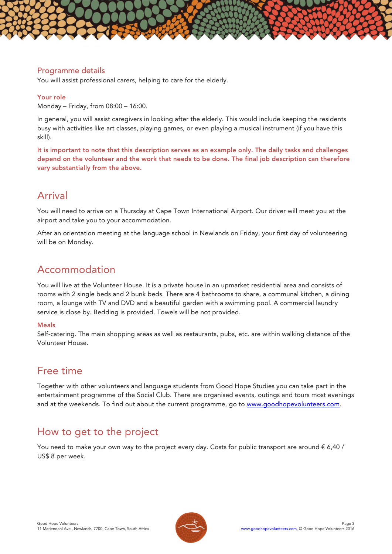## Programme details

You will assist professional carers, helping to care for the elderly.

#### Your role

Monday – Friday, from 08:00 – 16:00.

In general, you will assist caregivers in looking after the elderly. This would include keeping the residents busy with activities like art classes, playing games, or even playing a musical instrument (if you have this skill).

It is important to note that this description serves as an example only. The daily tasks and challenges depend on the volunteer and the work that needs to be done. The final job description can therefore vary substantially from the above.

# Arrival

You will need to arrive on a Thursday at Cape Town International Airport. Our driver will meet you at the airport and take you to your accommodation.

After an orientation meeting at the language school in Newlands on Friday, your first day of volunteering will be on Monday.

# Accommodation

You will live at the Volunteer House. It is a private house in an upmarket residential area and consists of rooms with 2 single beds and 2 bunk beds. There are 4 bathrooms to share, a communal kitchen, a dining room, a lounge with TV and DVD and a beautiful garden with a swimming pool. A commercial laundry service is close by. Bedding is provided. Towels will be not provided.

## Meals

Self-catering. The main shopping areas as well as restaurants, pubs, etc. are within walking distance of the Volunteer House.

## Free time

Together with other volunteers and language students from Good Hope Studies you can take part in the entertainment programme of the Social Club. There are organised events, outings and tours most evenings and at the weekends. To find out about the current programme, go to www.goodhopevolunteers.com.

# How to get to the project

You need to make your own way to the project every day. Costs for public transport are around  $\epsilon$  6,40 / US\$ 8 per week.

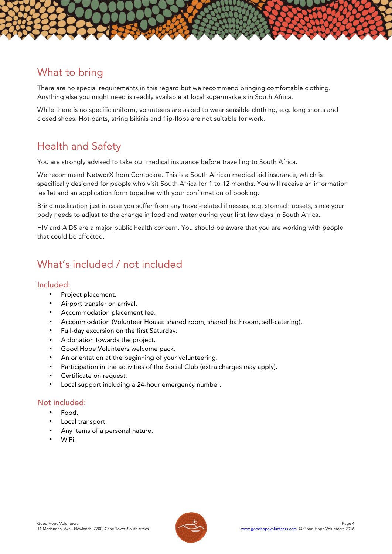

There are no special requirements in this regard but we recommend bringing comfortable clothing. Anything else you might need is readily available at local supermarkets in South Africa.

While there is no specific uniform, volunteers are asked to wear sensible clothing, e.g. long shorts and closed shoes. Hot pants, string bikinis and flip-flops are not suitable for work.

# Health and Safety

You are strongly advised to take out medical insurance before travelling to South Africa.

We recommend NetworX from Compcare. This is a South African medical aid insurance, which is specifically designed for people who visit South Africa for 1 to 12 months. You will receive an information leaflet and an application form together with your confirmation of booking.

Bring medication just in case you suffer from any travel-related illnesses, e.g. stomach upsets, since your body needs to adjust to the change in food and water during your first few days in South Africa.

HIV and AIDS are a major public health concern. You should be aware that you are working with people that could be affected.

# What's included / not included

## Included:

- Project placement.
- Airport transfer on arrival.
- Accommodation placement fee.
- Accommodation (Volunteer House: shared room, shared bathroom, self-catering).
- Full-day excursion on the first Saturday.
- A donation towards the project.
- Good Hope Volunteers welcome pack.
- An orientation at the beginning of your volunteering.
- Participation in the activities of the Social Club (extra charges may apply).
- Certificate on request.
- Local support including a 24-hour emergency number.

## Not included:

- Food.
- Local transport.
- Any items of a personal nature.
- WiFi.